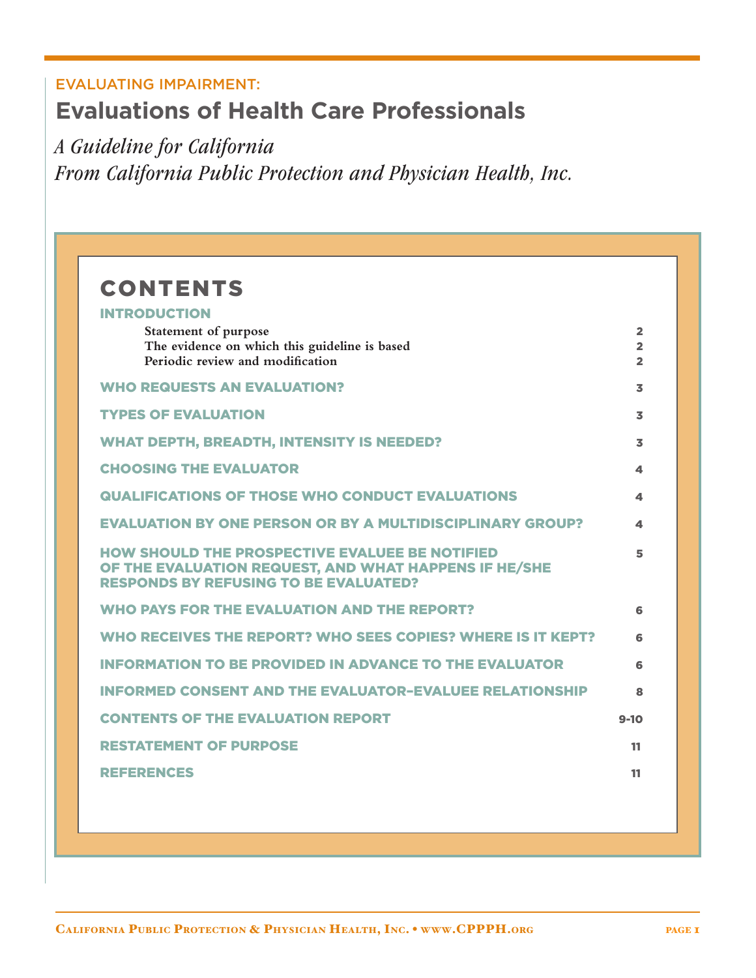# EVALUATING IMPAIRMENT: **Evaluations of Health Care Professionals**

*A Guideline for California From California Public Protection and Physician Health, Inc.*

| <b>CONTENTS</b>                                                                                                                                                |                                                    |
|----------------------------------------------------------------------------------------------------------------------------------------------------------------|----------------------------------------------------|
| <b>INTRODUCTION</b>                                                                                                                                            |                                                    |
| Statement of purpose<br>The evidence on which this guideline is based<br>Periodic review and modification                                                      | $\overline{2}$<br>$\overline{2}$<br>$\overline{2}$ |
| <b>WHO REQUESTS AN EVALUATION?</b>                                                                                                                             | 3                                                  |
| <b>TYPES OF EVALUATION</b>                                                                                                                                     | 3                                                  |
| <b>WHAT DEPTH, BREADTH, INTENSITY IS NEEDED?</b>                                                                                                               | 3                                                  |
| <b>CHOOSING THE EVALUATOR</b>                                                                                                                                  | 4                                                  |
| <b>QUALIFICATIONS OF THOSE WHO CONDUCT EVALUATIONS</b>                                                                                                         | 4                                                  |
| <b>EVALUATION BY ONE PERSON OR BY A MULTIDISCIPLINARY GROUP?</b>                                                                                               | 4                                                  |
| <b>HOW SHOULD THE PROSPECTIVE EVALUEE BE NOTIFIED</b><br>OF THE EVALUATION REQUEST, AND WHAT HAPPENS IF HE/SHE<br><b>RESPONDS BY REFUSING TO BE EVALUATED?</b> | 5                                                  |
| <b>WHO PAYS FOR THE EVALUATION AND THE REPORT?</b>                                                                                                             | 6                                                  |
| WHO RECEIVES THE REPORT? WHO SEES COPIES? WHERE IS IT KEPT?                                                                                                    | 6                                                  |
| <b>INFORMATION TO BE PROVIDED IN ADVANCE TO THE EVALUATOR</b>                                                                                                  | 6                                                  |
| <b>INFORMED CONSENT AND THE EVALUATOR-EVALUEE RELATIONSHIP</b>                                                                                                 | 8                                                  |
| <b>CONTENTS OF THE EVALUATION REPORT</b>                                                                                                                       | $9 - 10$                                           |
| <b>RESTATEMENT OF PURPOSE</b>                                                                                                                                  | 11                                                 |
| <b>REFERENCES</b>                                                                                                                                              | 11                                                 |
|                                                                                                                                                                |                                                    |
|                                                                                                                                                                |                                                    |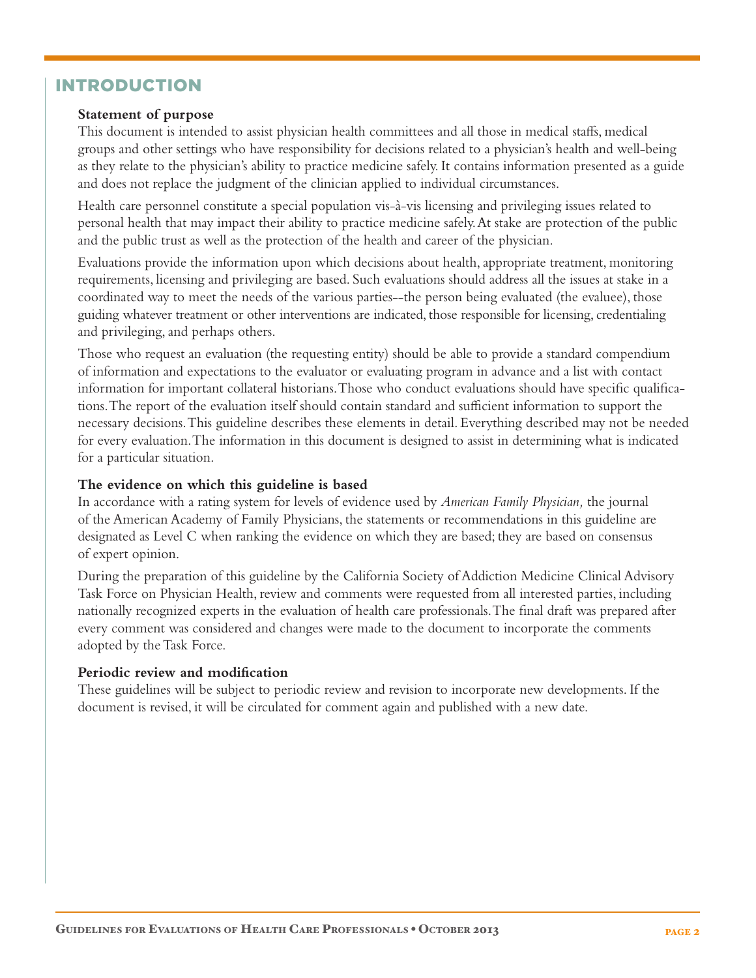#### INTRODUCTION

#### **Statement of purpose**

This document is intended to assist physician health committees and all those in medical staffs, medical groups and other settings who have responsibility for decisions related to a physician's health and well-being as they relate to the physician's ability to practice medicine safely. It contains information presented as a guide and does not replace the judgment of the clinician applied to individual circumstances.

 Health care personnel constitute a special population vis-à-vis licensing and privileging issues related to personal health that may impact their ability to practice medicine safely. At stake are protection of the public and the public trust as well as the protection of the health and career of the physician.

 Evaluations provide the information upon which decisions about health, appropriate treatment, monitoring requirements, licensing and privileging are based. Such evaluations should address all the issues at stake in a coordinated way to meet the needs of the various parties--the person being evaluated (the evaluee), those guiding whatever treatment or other interventions are indicated, those responsible for licensing, credentialing and privileging, and perhaps others.

 Those who request an evaluation (the requesting entity) should be able to provide a standard compendium of information and expectations to the evaluator or evaluating program in advance and a list with contact information for important collateral historians. Those who conduct evaluations should have specific qualifications. The report of the evaluation itself should contain standard and sufficient information to support the necessary decisions. This guideline describes these elements in detail. Everything described may not be needed for every evaluation. The information in this document is designed to assist in determining what is indicated for a particular situation.

#### **The evidence on which this guideline is based**

In accordance with a rating system for levels of evidence used by *American Family Physician,* the journal of the American Academy of Family Physicians, the statements or recommendations in this guideline are designated as Level C when ranking the evidence on which they are based; they are based on consensus of expert opinion.

 During the preparation of this guideline by the California Society of Addiction Medicine Clinical Advisory Task Force on Physician Health, review and comments were requested from all interested parties, including nationally recognized experts in the evaluation of health care professionals. The final draft was prepared after every comment was considered and changes were made to the document to incorporate the comments adopted by the Task Force.

#### **Periodic review and modification**

These guidelines will be subject to periodic review and revision to incorporate new developments. If the document is revised, it will be circulated for comment again and published with a new date.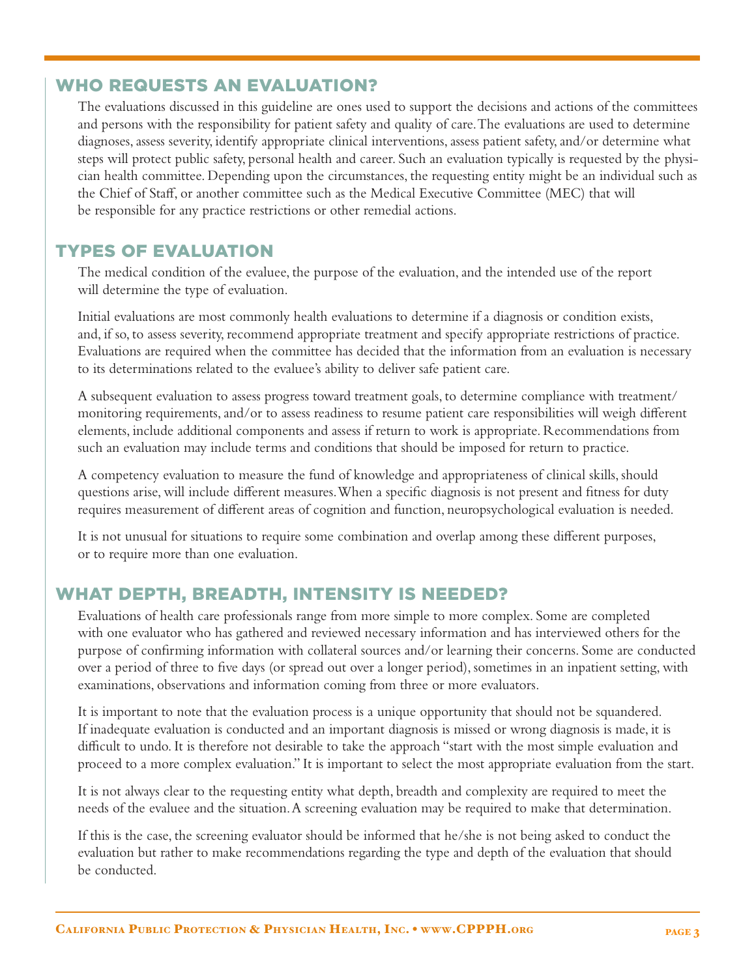#### WHO REQUESTS AN EVALUATION?

 The evaluations discussed in this guideline are ones used to support the decisions and actions of the committees and persons with the responsibility for patient safety and quality of care. The evaluations are used to determine diagnoses, assess severity, identify appropriate clinical interventions, assess patient safety, and/or determine what steps will protect public safety, personal health and career. Such an evaluation typically is requested by the physician health committee. Depending upon the circumstances, the requesting entity might be an individual such as the Chief of Staff, or another committee such as the Medical Executive Committee (MEC) that will be responsible for any practice restrictions or other remedial actions.

#### TYPES OF EVALUATION

 The medical condition of the evaluee, the purpose of the evaluation, and the intended use of the report will determine the type of evaluation.

 Initial evaluations are most commonly health evaluations to determine if a diagnosis or condition exists, and, if so, to assess severity, recommend appropriate treatment and specify appropriate restrictions of practice. Evaluations are required when the committee has decided that the information from an evaluation is necessary to its determinations related to the evaluee's ability to deliver safe patient care.

 A subsequent evaluation to assess progress toward treatment goals, to determine compliance with treatment/ monitoring requirements, and/or to assess readiness to resume patient care responsibilities will weigh different elements, include additional components and assess if return to work is appropriate. Recommendations from such an evaluation may include terms and conditions that should be imposed for return to practice.

 A competency evaluation to measure the fund of knowledge and appropriateness of clinical skills, should questions arise, will include different measures. When a specific diagnosis is not present and fitness for duty requires measurement of different areas of cognition and function, neuropsychological evaluation is needed.

 It is not unusual for situations to require some combination and overlap among these different purposes, or to require more than one evaluation.

#### WHAT DEPTH, BREADTH, INTENSITY IS NEEDED?

 Evaluations of health care professionals range from more simple to more complex. Some are completed with one evaluator who has gathered and reviewed necessary information and has interviewed others for the purpose of confirming information with collateral sources and/or learning their concerns. Some are conducted over a period of three to five days (or spread out over a longer period), sometimes in an inpatient setting, with examinations, observations and information coming from three or more evaluators.

 It is important to note that the evaluation process is a unique opportunity that should not be squandered. If inadequate evaluation is conducted and an important diagnosis is missed or wrong diagnosis is made, it is difficult to undo. It is therefore not desirable to take the approach "start with the most simple evaluation and proceed to a more complex evaluation." It is important to select the most appropriate evaluation from the start.

 It is not always clear to the requesting entity what depth, breadth and complexity are required to meet the needs of the evaluee and the situation. A screening evaluation may be required to make that determination.

 If this is the case, the screening evaluator should be informed that he/she is not being asked to conduct the evaluation but rather to make recommendations regarding the type and depth of the evaluation that should be conducted.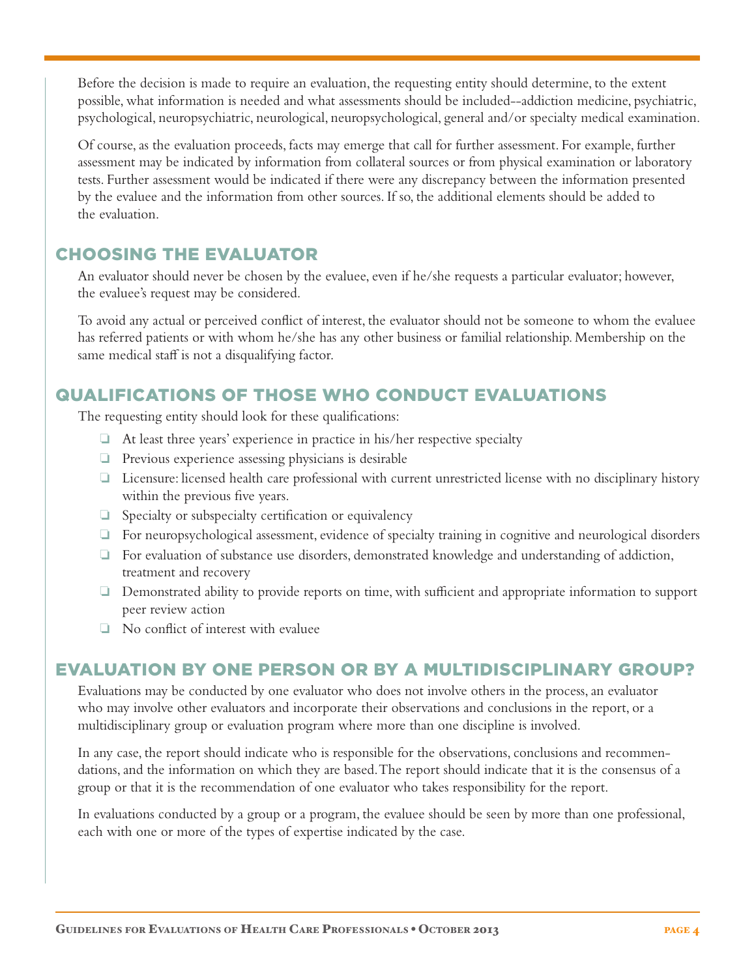Before the decision is made to require an evaluation, the requesting entity should determine, to the extent possible, what information is needed and what assessments should be included--addiction medicine, psychiatric, psychological, neuropsychiatric, neurological, neuropsychological, general and/or specialty medical examination.

 Of course, as the evaluation proceeds, facts may emerge that call for further assessment. For example, further assessment may be indicated by information from collateral sources or from physical examination or laboratory tests. Further assessment would be indicated if there were any discrepancy between the information presented by the evaluee and the information from other sources. If so, the additional elements should be added to the evaluation.

#### CHOOSING THE EVALUATOR

 An evaluator should never be chosen by the evaluee, even if he/she requests a particular evaluator; however, the evaluee's request may be considered.

 To avoid any actual or perceived conflict of interest, the evaluator should not be someone to whom the evaluee has referred patients or with whom he/she has any other business or familial relationship. Membership on the same medical staff is not a disqualifying factor.

### QUALIFICATIONS OF THOSE WHO CONDUCT EVALUATIONS

The requesting entity should look for these qualifications:

- $\Box$  At least three years' experience in practice in his/her respective specialty
- $\Box$  Previous experience assessing physicians is desirable
- $\Box$  Licensure: licensed health care professional with current unrestricted license with no disciplinary history within the previous five years.
- $\Box$  Specialty or subspecialty certification or equivalency
- $\Box$  For neuropsychological assessment, evidence of specialty training in cognitive and neurological disorders
- $\Box$  For evaluation of substance use disorders, demonstrated knowledge and understanding of addiction, treatment and recovery
- $\Box$  Demonstrated ability to provide reports on time, with sufficient and appropriate information to support peer review action
- $\Box$  No conflict of interest with evaluee

#### EVALUATION BY ONE PERSON OR BY A MULTIDISCIPLINARY GROUP?

 Evaluations may be conducted by one evaluator who does not involve others in the process, an evaluator who may involve other evaluators and incorporate their observations and conclusions in the report, or a multidisciplinary group or evaluation program where more than one discipline is involved.

 In any case, the report should indicate who is responsible for the observations, conclusions and recommendations, and the information on which they are based. The report should indicate that it is the consensus of a group or that it is the recommendation of one evaluator who takes responsibility for the report.

 In evaluations conducted by a group or a program, the evaluee should be seen by more than one professional, each with one or more of the types of expertise indicated by the case.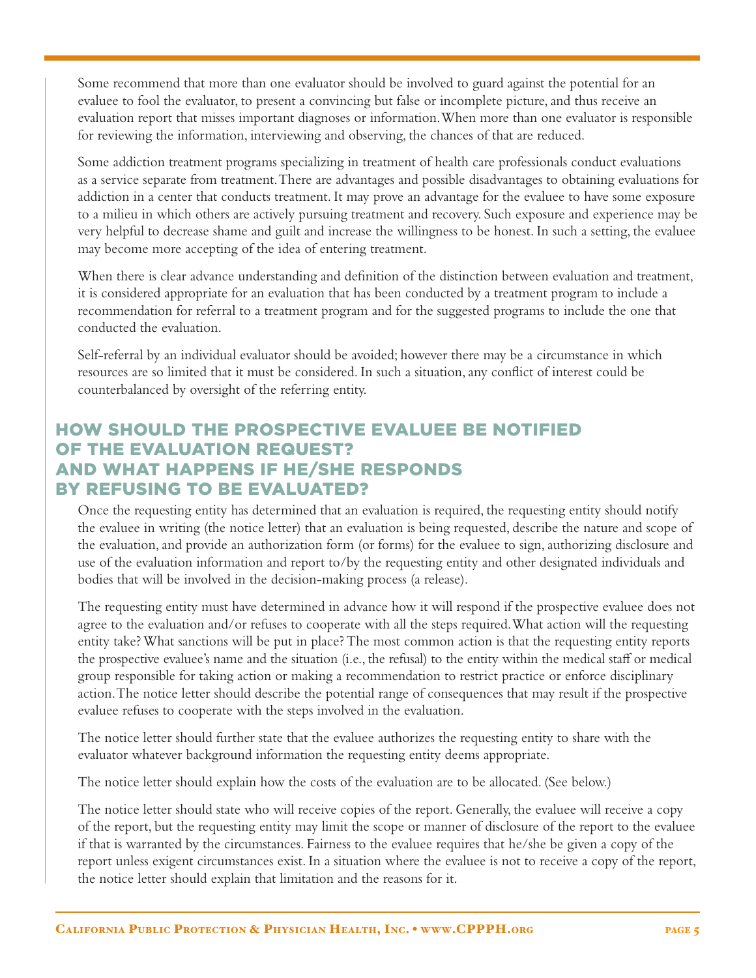Some recommend that more than one evaluator should be involved to guard against the potential for an evaluee to fool the evaluator, to present a convincing but false or incomplete picture, and thus receive an evaluation report that misses important diagnoses or information. When more than one evaluator is responsible for reviewing the information, interviewing and observing, the chances of that are reduced.

 Some addiction treatment programs specializing in treatment of health care professionals conduct evaluations as a service separate from treatment. There are advantages and possible disadvantages to obtaining evaluations for addiction in a center that conducts treatment. It may prove an advantage for the evaluee to have some exposure to a milieu in which others are actively pursuing treatment and recovery. Such exposure and experience may be very helpful to decrease shame and guilt and increase the willingness to be honest. In such a setting, the evaluee may become more accepting of the idea of entering treatment.

 When there is clear advance understanding and definition of the distinction between evaluation and treatment, it is considered appropriate for an evaluation that has been conducted by a treatment program to include a recommendation for referral to a treatment program and for the suggested programs to include the one that conducted the evaluation.

 Self-referral by an individual evaluator should be avoided; however there may be a circumstance in which resources are so limited that it must be considered. In such a situation, any conflict of interest could be counterbalanced by oversight of the referring entity.

### HOW SHOULD THE PROSPECTIVE EVALUEE BE NOTIFIED OF THE EVALUATION REQUEST? AND WHAT HAPPENS IF HE/SHE RESPONDS BY REFUSING TO BE EVALUATED?

 Once the requesting entity has determined that an evaluation is required, the requesting entity should notify the evaluee in writing (the notice letter) that an evaluation is being requested, describe the nature and scope of the evaluation, and provide an authorization form (or forms) for the evaluee to sign, authorizing disclosure and use of the evaluation information and report to/by the requesting entity and other designated individuals and bodies that will be involved in the decision-making process (a release).

 The requesting entity must have determined in advance how it will respond if the prospective evaluee does not agree to the evaluation and/or refuses to cooperate with all the steps required. What action will the requesting entity take? What sanctions will be put in place? The most common action is that the requesting entity reports the prospective evaluee's name and the situation (i.e., the refusal) to the entity within the medical staff or medical group responsible for taking action or making a recommendation to restrict practice or enforce disciplinary action. The notice letter should describe the potential range of consequences that may result if the prospective evaluee refuses to cooperate with the steps involved in the evaluation.

 The notice letter should further state that the evaluee authorizes the requesting entity to share with the evaluator whatever background information the requesting entity deems appropriate.

The notice letter should explain how the costs of the evaluation are to be allocated. (See below.)

 The notice letter should state who will receive copies of the report. Generally, the evaluee will receive a copy of the report, but the requesting entity may limit the scope or manner of disclosure of the report to the evaluee if that is warranted by the circumstances. Fairness to the evaluee requires that he/she be given a copy of the report unless exigent circumstances exist. In a situation where the evaluee is not to receive a copy of the report, the notice letter should explain that limitation and the reasons for it.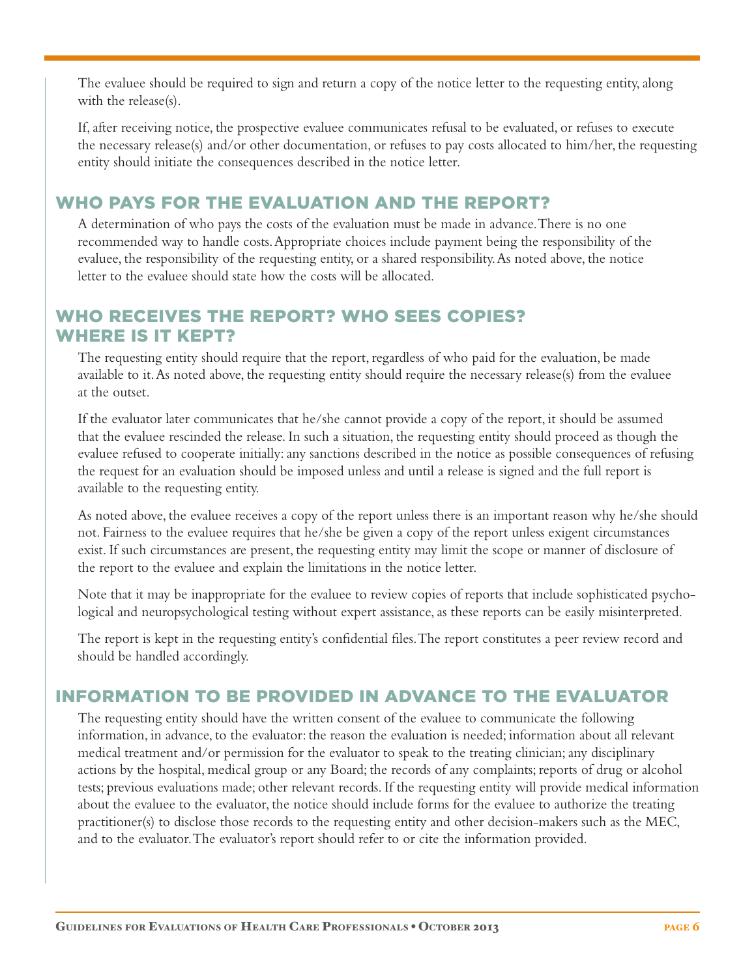The evaluee should be required to sign and return a copy of the notice letter to the requesting entity, along with the release(s).

 If, after receiving notice, the prospective evaluee communicates refusal to be evaluated, or refuses to execute the necessary release(s) and/or other documentation, or refuses to pay costs allocated to him/her, the requesting entity should initiate the consequences described in the notice letter.

### WHO PAYS FOR THE EVALUATION AND THE REPORT?

 A determination of who pays the costs of the evaluation must be made in advance. There is no one recommended way to handle costs. Appropriate choices include payment being the responsibility of the evaluee, the responsibility of the requesting entity, or a shared responsibility. As noted above, the notice letter to the evaluee should state how the costs will be allocated.

### WHO RECEIVES THE REPORT? WHO SEES COPIES? WHERE IS IT KEPT?

 The requesting entity should require that the report, regardless of who paid for the evaluation, be made available to it. As noted above, the requesting entity should require the necessary release(s) from the evaluee at the outset.

 If the evaluator later communicates that he/she cannot provide a copy of the report, it should be assumed that the evaluee rescinded the release. In such a situation, the requesting entity should proceed as though the evaluee refused to cooperate initially: any sanctions described in the notice as possible consequences of refusing the request for an evaluation should be imposed unless and until a release is signed and the full report is available to the requesting entity.

 As noted above, the evaluee receives a copy of the report unless there is an important reason why he/she should not. Fairness to the evaluee requires that he/she be given a copy of the report unless exigent circumstances exist. If such circumstances are present, the requesting entity may limit the scope or manner of disclosure of the report to the evaluee and explain the limitations in the notice letter.

 Note that it may be inappropriate for the evaluee to review copies of reports that include sophisticated psychological and neuropsychological testing without expert assistance, as these reports can be easily misinterpreted.

 The report is kept in the requesting entity's confidential files. The report constitutes a peer review record and should be handled accordingly.

### INFORMATION TO BE PROVIDED IN ADVANCE TO THE EVALUATOR

 The requesting entity should have the written consent of the evaluee to communicate the following information, in advance, to the evaluator: the reason the evaluation is needed; information about all relevant medical treatment and/or permission for the evaluator to speak to the treating clinician; any disciplinary actions by the hospital, medical group or any Board; the records of any complaints; reports of drug or alcohol tests; previous evaluations made; other relevant records. If the requesting entity will provide medical information about the evaluee to the evaluator, the notice should include forms for the evaluee to authorize the treating practitioner(s) to disclose those records to the requesting entity and other decision-makers such as the MEC, and to the evaluator. The evaluator's report should refer to or cite the information provided.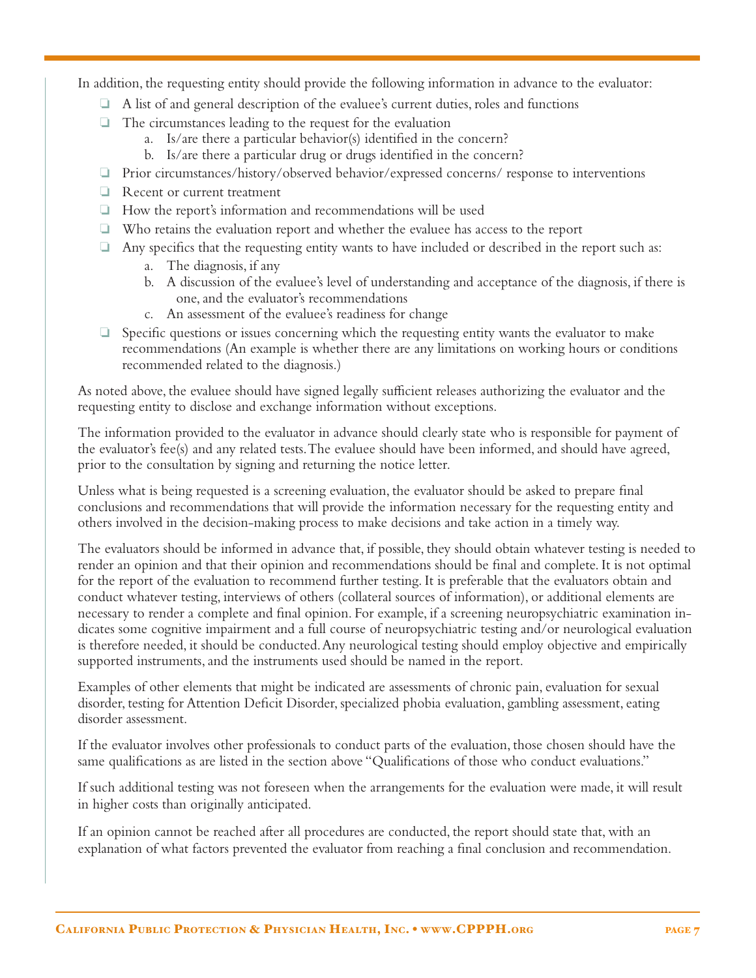In addition, the requesting entity should provide the following information in advance to the evaluator:

- $\Box$  A list of and general description of the evaluee's current duties, roles and functions
- $\Box$  The circumstances leading to the request for the evaluation
	- a. Is/are there a particular behavior(s) identified in the concern?
	- b. Is/are there a particular drug or drugs identified in the concern?
- $\Box$  Prior circumstances/history/observed behavior/expressed concerns/ response to interventions
- $\Box$  Recent or current treatment
- $\Box$  How the report's information and recommendations will be used
- $\Box$  Who retains the evaluation report and whether the evaluee has access to the report
- $\Box$  Any specifics that the requesting entity wants to have included or described in the report such as:
	- a. The diagnosis, if any
	- b. A discussion of the evaluee's level of understanding and acceptance of the diagnosis, if there is one, and the evaluator's recommendations
	- c. An assessment of the evaluee's readiness for change
- $\Box$  Specific questions or issues concerning which the requesting entity wants the evaluator to make recommendations (An example is whether there are any limitations on working hours or conditions recommended related to the diagnosis.)

 As noted above, the evaluee should have signed legally sufficient releases authorizing the evaluator and the requesting entity to disclose and exchange information without exceptions.

 The information provided to the evaluator in advance should clearly state who is responsible for payment of the evaluator's fee(s) and any related tests. The evaluee should have been informed, and should have agreed, prior to the consultation by signing and returning the notice letter.

 Unless what is being requested is a screening evaluation, the evaluator should be asked to prepare final conclusions and recommendations that will provide the information necessary for the requesting entity and others involved in the decision-making process to make decisions and take action in a timely way.

 The evaluators should be informed in advance that, if possible, they should obtain whatever testing is needed to render an opinion and that their opinion and recommendations should be final and complete. It is not optimal for the report of the evaluation to recommend further testing. It is preferable that the evaluators obtain and conduct whatever testing, interviews of others (collateral sources of information), or additional elements are necessary to render a complete and final opinion. For example, if a screening neuropsychiatric examination indicates some cognitive impairment and a full course of neuropsychiatric testing and/or neurological evaluation is therefore needed, it should be conducted. Any neurological testing should employ objective and empirically supported instruments, and the instruments used should be named in the report.

 Examples of other elements that might be indicated are assessments of chronic pain, evaluation for sexual disorder, testing for Attention Deficit Disorder, specialized phobia evaluation, gambling assessment, eating disorder assessment.

 If the evaluator involves other professionals to conduct parts of the evaluation, those chosen should have the same qualifications as are listed in the section above "Qualifications of those who conduct evaluations."

 If such additional testing was not foreseen when the arrangements for the evaluation were made, it will result in higher costs than originally anticipated.

 If an opinion cannot be reached after all procedures are conducted, the report should state that, with an explanation of what factors prevented the evaluator from reaching a final conclusion and recommendation.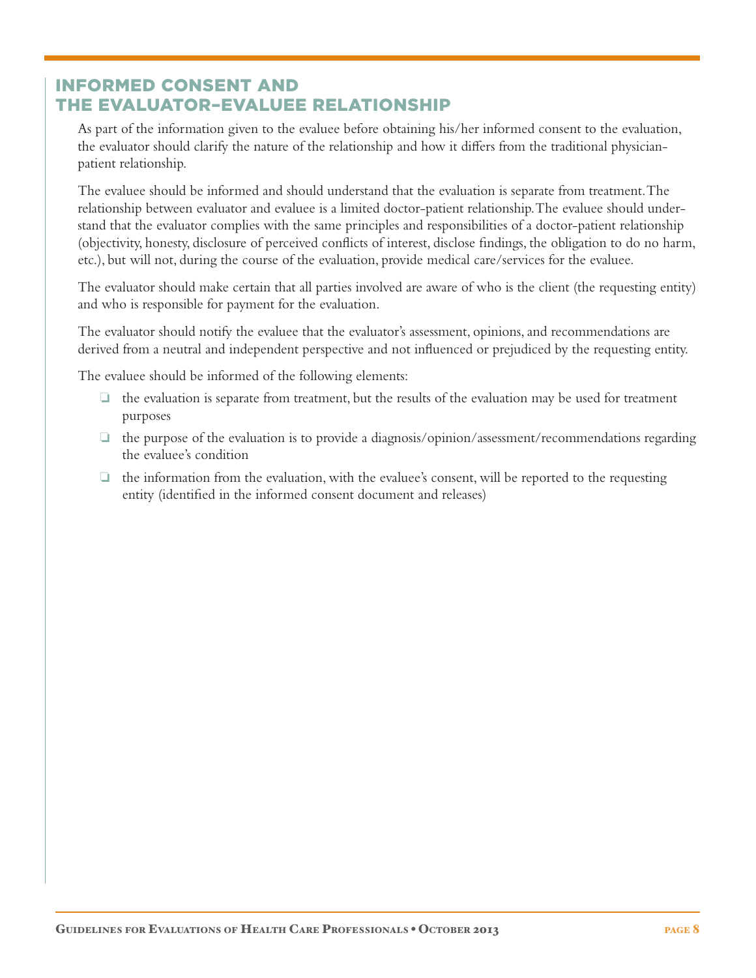#### INFORMED CONSENT AND THE EVALUATOR–EVALUEE RELATIONSHIP

 As part of the information given to the evaluee before obtaining his/her informed consent to the evaluation, the evaluator should clarify the nature of the relationship and how it differs from the traditional physicianpatient relationship.

 The evaluee should be informed and should understand that the evaluation is separate from treatment. The relationship between evaluator and evaluee is a limited doctor-patient relationship. The evaluee should understand that the evaluator complies with the same principles and responsibilities of a doctor-patient relationship (objectivity, honesty, disclosure of perceived conflicts of interest, disclose findings, the obligation to do no harm, etc.), but will not, during the course of the evaluation, provide medical care/services for the evaluee.

 The evaluator should make certain that all parties involved are aware of who is the client (the requesting entity) and who is responsible for payment for the evaluation.

 The evaluator should notify the evaluee that the evaluator's assessment, opinions, and recommendations are derived from a neutral and independent perspective and not influenced or prejudiced by the requesting entity.

The evaluee should be informed of the following elements:

- $\Box$  the evaluation is separate from treatment, but the results of the evaluation may be used for treatment purposes
- $\Box$  the purpose of the evaluation is to provide a diagnosis/opinion/assessment/recommendations regarding the evaluee's condition
- $\Box$  the information from the evaluation, with the evaluee's consent, will be reported to the requesting entity (identified in the informed consent document and releases)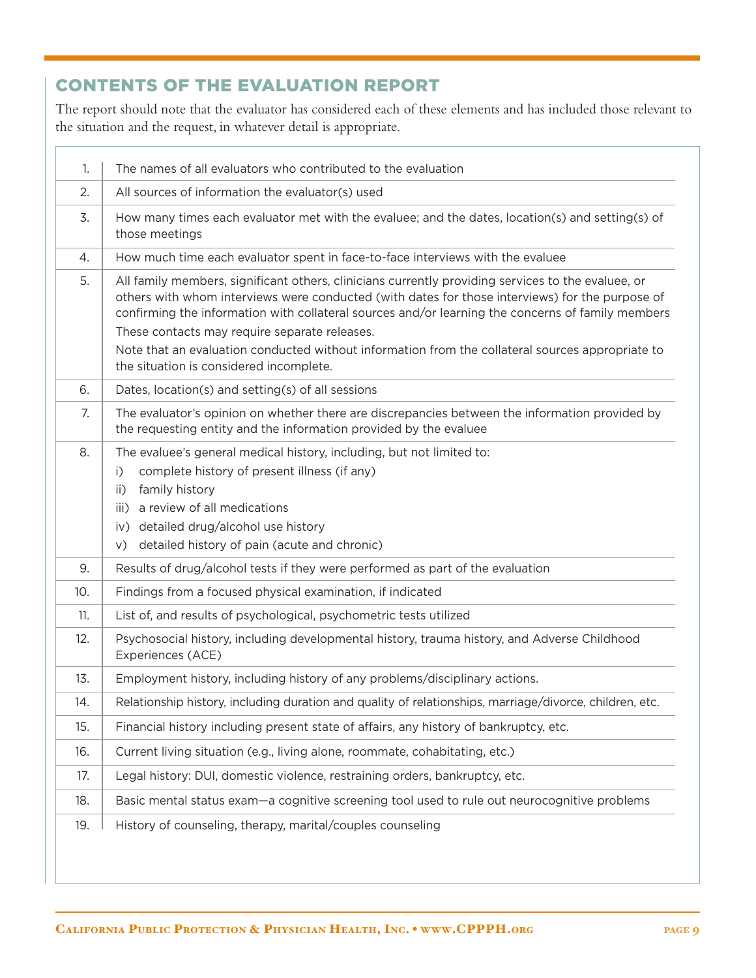| 1.  | The names of all evaluators who contributed to the evaluation                                                                                                                                                                                                                                                                                                                                                                                                                                              |
|-----|------------------------------------------------------------------------------------------------------------------------------------------------------------------------------------------------------------------------------------------------------------------------------------------------------------------------------------------------------------------------------------------------------------------------------------------------------------------------------------------------------------|
| 2.  | All sources of information the evaluator(s) used                                                                                                                                                                                                                                                                                                                                                                                                                                                           |
| 3.  | How many times each evaluator met with the evaluee; and the dates, location(s) and setting(s) of<br>those meetings                                                                                                                                                                                                                                                                                                                                                                                         |
| 4.  | How much time each evaluator spent in face-to-face interviews with the evaluee                                                                                                                                                                                                                                                                                                                                                                                                                             |
| 5.  | All family members, significant others, clinicians currently providing services to the evaluee, or<br>others with whom interviews were conducted (with dates for those interviews) for the purpose of<br>confirming the information with collateral sources and/or learning the concerns of family members<br>These contacts may require separate releases.<br>Note that an evaluation conducted without information from the collateral sources appropriate to<br>the situation is considered incomplete. |
| 6.  | Dates, location(s) and setting(s) of all sessions                                                                                                                                                                                                                                                                                                                                                                                                                                                          |
| 7.  | The evaluator's opinion on whether there are discrepancies between the information provided by<br>the requesting entity and the information provided by the evaluee                                                                                                                                                                                                                                                                                                                                        |
| 8.  | The evaluee's general medical history, including, but not limited to:<br>complete history of present illness (if any)<br>i)<br>family history<br>ii)<br>a review of all medications<br>iii)<br>iv) detailed drug/alcohol use history<br>detailed history of pain (acute and chronic)<br>V)                                                                                                                                                                                                                 |
| 9.  | Results of drug/alcohol tests if they were performed as part of the evaluation                                                                                                                                                                                                                                                                                                                                                                                                                             |
| 10. | Findings from a focused physical examination, if indicated                                                                                                                                                                                                                                                                                                                                                                                                                                                 |
| 11. | List of, and results of psychological, psychometric tests utilized                                                                                                                                                                                                                                                                                                                                                                                                                                         |
| 12. | Psychosocial history, including developmental history, trauma history, and Adverse Childhood<br>Experiences (ACE)                                                                                                                                                                                                                                                                                                                                                                                          |
| 13. | Employment history, including history of any problems/disciplinary actions.                                                                                                                                                                                                                                                                                                                                                                                                                                |
| 14. | Relationship history, including duration and quality of relationships, marriage/divorce, children, etc.                                                                                                                                                                                                                                                                                                                                                                                                    |
| 15. | Financial history including present state of affairs, any history of bankruptcy, etc.                                                                                                                                                                                                                                                                                                                                                                                                                      |
| 16. | Current living situation (e.g., living alone, roommate, cohabitating, etc.)                                                                                                                                                                                                                                                                                                                                                                                                                                |
| 17. | Legal history: DUI, domestic violence, restraining orders, bankruptcy, etc.                                                                                                                                                                                                                                                                                                                                                                                                                                |
| 18. | Basic mental status exam-a cognitive screening tool used to rule out neurocognitive problems                                                                                                                                                                                                                                                                                                                                                                                                               |
| 19. | History of counseling, therapy, marital/couples counseling                                                                                                                                                                                                                                                                                                                                                                                                                                                 |

## CONTENTS OF THE EVALUATION REPORT

The report should note that the evaluator has considered each of these elements and has included those relevant to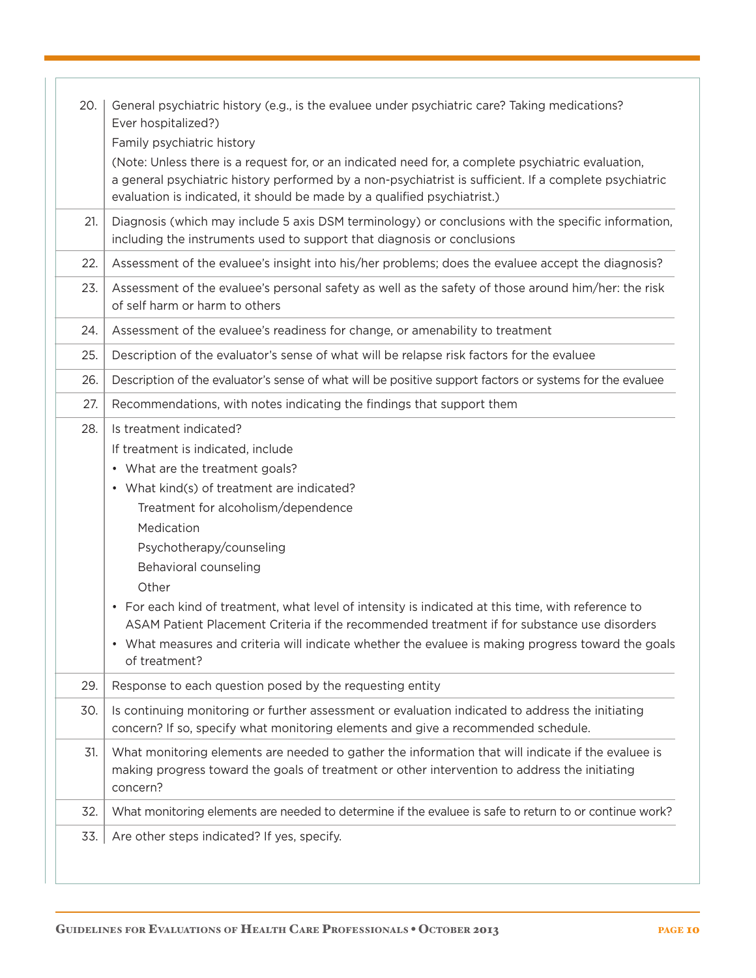| 20. | General psychiatric history (e.g., is the evaluee under psychiatric care? Taking medications?<br>Ever hospitalized?)<br>Family psychiatric history                                                                                                                                                                                                                                                                                                                                                                                                                                                       |
|-----|----------------------------------------------------------------------------------------------------------------------------------------------------------------------------------------------------------------------------------------------------------------------------------------------------------------------------------------------------------------------------------------------------------------------------------------------------------------------------------------------------------------------------------------------------------------------------------------------------------|
|     | (Note: Unless there is a request for, or an indicated need for, a complete psychiatric evaluation,<br>a general psychiatric history performed by a non-psychiatrist is sufficient. If a complete psychiatric<br>evaluation is indicated, it should be made by a qualified psychiatrist.)                                                                                                                                                                                                                                                                                                                 |
| 21. | Diagnosis (which may include 5 axis DSM terminology) or conclusions with the specific information,<br>including the instruments used to support that diagnosis or conclusions                                                                                                                                                                                                                                                                                                                                                                                                                            |
| 22. | Assessment of the evaluee's insight into his/her problems; does the evaluee accept the diagnosis?                                                                                                                                                                                                                                                                                                                                                                                                                                                                                                        |
| 23. | Assessment of the evaluee's personal safety as well as the safety of those around him/her: the risk<br>of self harm or harm to others                                                                                                                                                                                                                                                                                                                                                                                                                                                                    |
| 24. | Assessment of the evaluee's readiness for change, or amenability to treatment                                                                                                                                                                                                                                                                                                                                                                                                                                                                                                                            |
| 25. | Description of the evaluator's sense of what will be relapse risk factors for the evaluee                                                                                                                                                                                                                                                                                                                                                                                                                                                                                                                |
| 26. | Description of the evaluator's sense of what will be positive support factors or systems for the evaluee                                                                                                                                                                                                                                                                                                                                                                                                                                                                                                 |
| 27. | Recommendations, with notes indicating the findings that support them                                                                                                                                                                                                                                                                                                                                                                                                                                                                                                                                    |
| 28. | Is treatment indicated?<br>If treatment is indicated, include<br>• What are the treatment goals?<br>• What kind(s) of treatment are indicated?<br>Treatment for alcoholism/dependence<br>Medication<br>Psychotherapy/counseling<br>Behavioral counseling<br>Other<br>For each kind of treatment, what level of intensity is indicated at this time, with reference to<br>$\bullet$<br>ASAM Patient Placement Criteria if the recommended treatment if for substance use disorders<br>• What measures and criteria will indicate whether the evaluee is making progress toward the goals<br>of treatment? |
| 29. | Response to each question posed by the requesting entity                                                                                                                                                                                                                                                                                                                                                                                                                                                                                                                                                 |
| 30. | Is continuing monitoring or further assessment or evaluation indicated to address the initiating<br>concern? If so, specify what monitoring elements and give a recommended schedule.                                                                                                                                                                                                                                                                                                                                                                                                                    |
| 31. | What monitoring elements are needed to gather the information that will indicate if the evaluee is<br>making progress toward the goals of treatment or other intervention to address the initiating<br>concern?                                                                                                                                                                                                                                                                                                                                                                                          |
| 32. | What monitoring elements are needed to determine if the evaluee is safe to return to or continue work?                                                                                                                                                                                                                                                                                                                                                                                                                                                                                                   |
| 33. | Are other steps indicated? If yes, specify.                                                                                                                                                                                                                                                                                                                                                                                                                                                                                                                                                              |